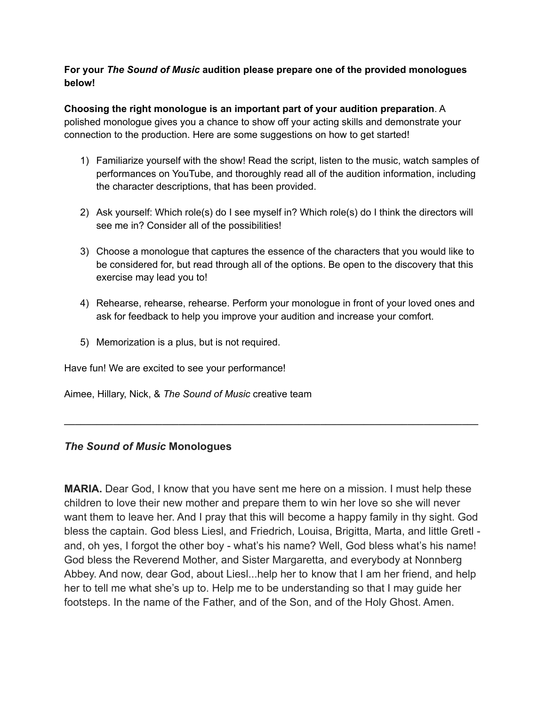## **For your** *The Sound of Music* **audition please prepare one of the provided monologues below!**

**Choosing the right monologue is an important part of your audition preparation**. A polished monologue gives you a chance to show off your acting skills and demonstrate your connection to the production. Here are some suggestions on how to get started!

- 1) Familiarize yourself with the show! Read the script, listen to the music, watch samples of performances on YouTube, and thoroughly read all of the audition information, including the character descriptions, that has been provided.
- 2) Ask yourself: Which role(s) do I see myself in? Which role(s) do I think the directors will see me in? Consider all of the possibilities!
- 3) Choose a monologue that captures the essence of the characters that you would like to be considered for, but read through all of the options. Be open to the discovery that this exercise may lead you to!
- 4) Rehearse, rehearse, rehearse. Perform your monologue in front of your loved ones and ask for feedback to help you improve your audition and increase your comfort.
- 5) Memorization is a plus, but is not required.

Have fun! We are excited to see your performance!

Aimee, Hillary, Nick, & *The Sound of Music* creative team

## *The Sound of Music* **Monologues**

**MARIA.** Dear God, I know that you have sent me here on a mission. I must help these children to love their new mother and prepare them to win her love so she will never want them to leave her. And I pray that this will become a happy family in thy sight. God bless the captain. God bless Liesl, and Friedrich, Louisa, Brigitta, Marta, and little Gretl and, oh yes, I forgot the other boy - what's his name? Well, God bless what's his name! God bless the Reverend Mother, and Sister Margaretta, and everybody at Nonnberg Abbey. And now, dear God, about Liesl...help her to know that I am her friend, and help her to tell me what she's up to. Help me to be understanding so that I may guide her footsteps. In the name of the Father, and of the Son, and of the Holy Ghost. Amen.

**\_\_\_\_\_\_\_\_\_\_\_\_\_\_\_\_\_\_\_\_\_\_\_\_\_\_\_\_\_\_\_\_\_\_\_\_\_\_\_\_\_\_\_\_\_\_\_\_\_\_\_\_\_\_\_\_\_\_\_\_\_\_\_\_\_\_\_\_\_\_\_\_\_\_\_\_**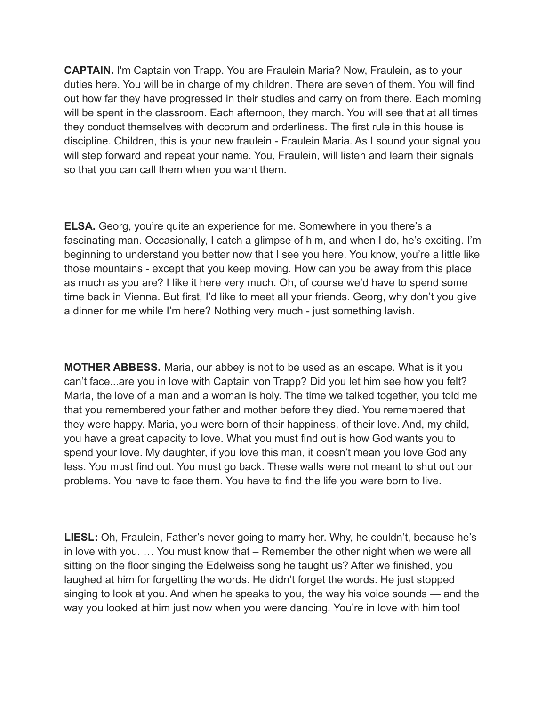**CAPTAIN.** I'm Captain von Trapp. You are Fraulein Maria? Now, Fraulein, as to your duties here. You will be in charge of my children. There are seven of them. You will find out how far they have progressed in their studies and carry on from there. Each morning will be spent in the classroom. Each afternoon, they march. You will see that at all times they conduct themselves with decorum and orderliness. The first rule in this house is discipline. Children, this is your new fraulein - Fraulein Maria. As I sound your signal you will step forward and repeat your name. You, Fraulein, will listen and learn their signals so that you can call them when you want them.

**ELSA.** Georg, you're quite an experience for me. Somewhere in you there's a fascinating man. Occasionally, I catch a glimpse of him, and when I do, he's exciting. I'm beginning to understand you better now that I see you here. You know, you're a little like those mountains - except that you keep moving. How can you be away from this place as much as you are? I like it here very much. Oh, of course we'd have to spend some time back in Vienna. But first, I'd like to meet all your friends. Georg, why don't you give a dinner for me while I'm here? Nothing very much - just something lavish.

**MOTHER ABBESS.** Maria, our abbey is not to be used as an escape. What is it you can't face...are you in love with Captain von Trapp? Did you let him see how you felt? Maria, the love of a man and a woman is holy. The time we talked together, you told me that you remembered your father and mother before they died. You remembered that they were happy. Maria, you were born of their happiness, of their love. And, my child, you have a great capacity to love. What you must find out is how God wants you to spend your love. My daughter, if you love this man, it doesn't mean you love God any less. You must find out. You must go back. These walls were not meant to shut out our problems. You have to face them. You have to find the life you were born to live.

LIESL: Oh, Fraulein, Father's never going to marry her. Why, he couldn't, because he's in love with you. … You must know that – Remember the other night when we were all sitting on the floor singing the Edelweiss song he taught us? After we finished, you laughed at him for forgetting the words. He didn't forget the words. He just stopped singing to look at you. And when he speaks to you, the way his voice sounds — and the way you looked at him just now when you were dancing. You're in love with him too!